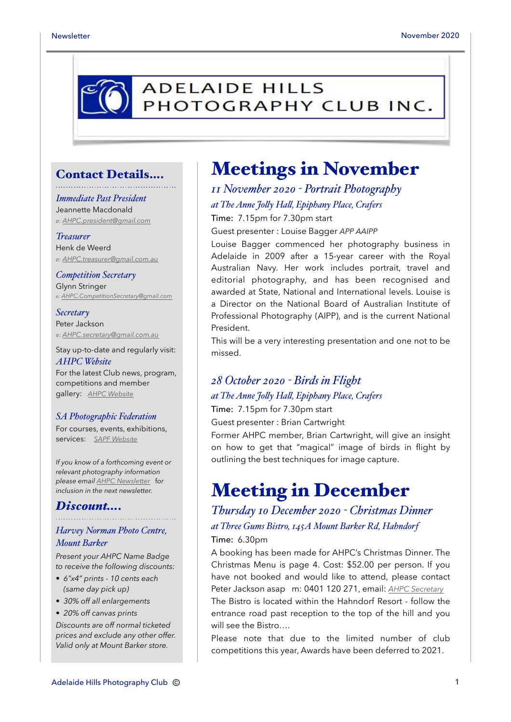

#### Contact Details….

#### *Immediate Past President*

Jeannette Macdonald *e: [AHPC.president@gmail.com](mailto:AHPC.president@gmail.com)*

#### *Treasurer*

Henk de Weerd *e: [AHPC.treasurer@gmail.com.au](mailto:AHPC.treasurer@gmail.com.au)*

*Competition Secretary* Glynn Stringer *e: [AHPC.CompetitionSecretary@gmail.com](mailto:AHPC.CompetitionSecretary@gmail.com)*

#### *Secretary* Peter Jackson *e: [AHPC.secretary@gmail.com.au](mailto:AHPC.treasurer@gmail.com.au)*

Stay up-to-date and regularly visit: *AHPC Website* For the latest Club news, program,

competitions and member gallery: *[AHPC Website](http://www.adelaidehillsphotographyclub.com.au)*

#### *SA Photographic Federation*

For courses, events, exhibitions, services: *[SAPF Website](https://www.sapf.org.au)*

*If you know of a forthcoming event or relevant photography information please email [AHPC Newsletter](mailto:paulaphotoclick@gmail.com)* f*or inclusion in the next newsletter.* 

#### *Discount….*

#### *Harvey Norman Photo Centre, Mount Barker*

*Present your AHPC Name Badge to receive the following discounts:* 

- *6"x4" prints 10 cents each (same day pick up)*
- *30% off all enlargements*

• *20% off canvas prints Discounts are off normal ticketed prices and exclude any other offer. Valid only at Mount Barker store.*

# Meetings in November

*11 November 2020 - Portrait Photography at The Anne Jo"y Ha", Epiphany Place, Crafers* Time: 7.15pm for 7.30pm start

Guest presenter : Louise Bagger *APP AAIPP*

Louise Bagger commenced her photography business in Adelaide in 2009 after a 15-year career with the Royal Australian Navy. Her work includes portrait, travel and editorial photography, and has been recognised and awarded at State, National and International levels. Louise is a Director on the National Board of Australian Institute of Professional Photography (AIPP), and is the current National President.

This will be a very interesting presentation and one not to be missed.

#### *28 October 2020 - Birds in Flight at The Anne Jo"y Ha", Epiphany Place, Crafers*

Time: 7.15pm for 7.30pm start

will see the Bistro….

Guest presenter : Brian Cartwright

Former AHPC member, Brian Cartwright, will give an insight on how to get that "magical" image of birds in flight by outlining the best techniques for image capture.

# Meeting in December

#### *Thursday 10 December 2020 - Christmas Dinner at Three Gums Bistro, 145A Mount Barker Rd, Hahndorf* Time: 6.30pm

A booking has been made for AHPC's Christmas Dinner. The Christmas Menu is page 4. Cost: \$52.00 per person. If you have not booked and would like to attend, please contact Peter Jackson asap m: 0401 120 271, email: *[AHPC Secretary](mailto:AHPC.secretary@gmail.com)* The Bistro is located within the Hahndorf Resort - follow the entrance road past reception to the top of the hill and you

Please note that due to the limited number of club competitions this year, Awards have been deferred to 2021.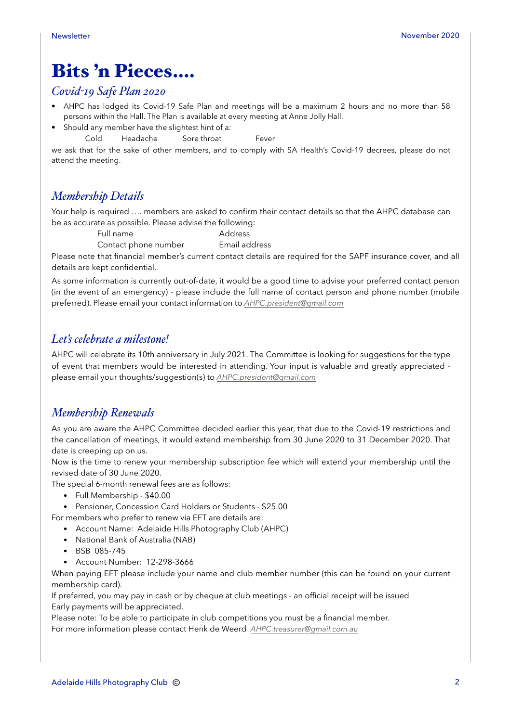# Bits 'n Pieces….

#### *Covid-19 Safe Plan 2020*

- AHPC has lodged its Covid-19 Safe Plan and meetings will be a maximum 2 hours and no more than 58 persons within the Hall. The Plan is available at every meeting at Anne Jolly Hall.
- Should any member have the slightest hint of a:

Cold Headache Sore throat Fever

we ask that for the sake of other members, and to comply with SA Health's Covid-19 decrees, please do not attend the meeting.

#### *Membership Details*

Your help is required …. members are asked to confirm their contact details so that the AHPC database can be as accurate as possible. Please advise the following:

Full name Address

Contact phone number Email address

Please note that financial member's current contact details are required for the SAPF insurance cover, and all details are kept confidential.

As some information is currently out-of-date, it would be a good time to advise your preferred contact person (in the event of an emergency) - please include the full name of contact person and phone number (mobile preferred). Please email your contact information to *[AHPC.president@gmail.com](mailto:AHPC.president@gmail.com)*

#### *Let's celebrate a milestone!*

AHPC will celebrate its 10th anniversary in July 2021. The Committee is looking for suggestions for the type of event that members would be interested in attending. Your input is valuable and greatly appreciated please email your thoughts/suggestion(s) to *[AHPC.president@gmail.com](mailto:AHPC.president@gmail.com)*

#### *Membership Renewals*

As you are aware the AHPC Committee decided earlier this year, that due to the Covid-19 restrictions and the cancellation of meetings, it would extend membership from 30 June 2020 to 31 December 2020. That date is creeping up on us.

Now is the time to renew your membership subscription fee which will extend your membership until the revised date of 30 June 2020.

The special 6-month renewal fees are as follows:

- Full Membership \$40.00
- Pensioner, Concession Card Holders or Students \$25.00

For members who prefer to renew via EFT are details are:

- Account Name: Adelaide Hills Photography Club (AHPC)
- National Bank of Australia (NAB)
- BSB 085-745
- Account Number: 12-298-3666

When paying EFT please include your name and club member number (this can be found on your current membership card).

If preferred, you may pay in cash or by cheque at club meetings - an official receipt will be issued Early payments will be appreciated.

Please note: To be able to participate in club competitions you must be a financial member. For more information please contact Henk de Weerd *[AHPC.treasurer@gmail.com.au](mailto:AHPC.treasurer@gmail.com.au)*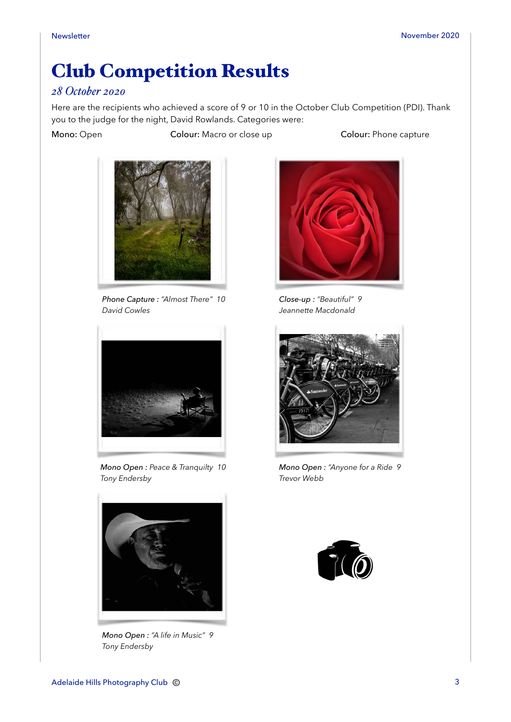# Club Competition Results

#### *28 October 2020*

Here are the recipients who achieved a score of 9 or 10 in the October Club Competition (PDI). Thank you to the judge for the night, David Rowlands. Categories were:

Mono: Open Colour: Macro or close up Colour: Phone capture



*Phone Capture : "Almost There" 10 David Cowles*



*Mono Open : Peace & Tranquilty 10 Tony Endersby*



*Mono Open : "A life in Music" 9 Tony Endersby*



*Close-up : "Beautiful" 9 Jeannette Macdonald*



*Mono Open : "Anyone for a Ride 9 Trevor Webb*